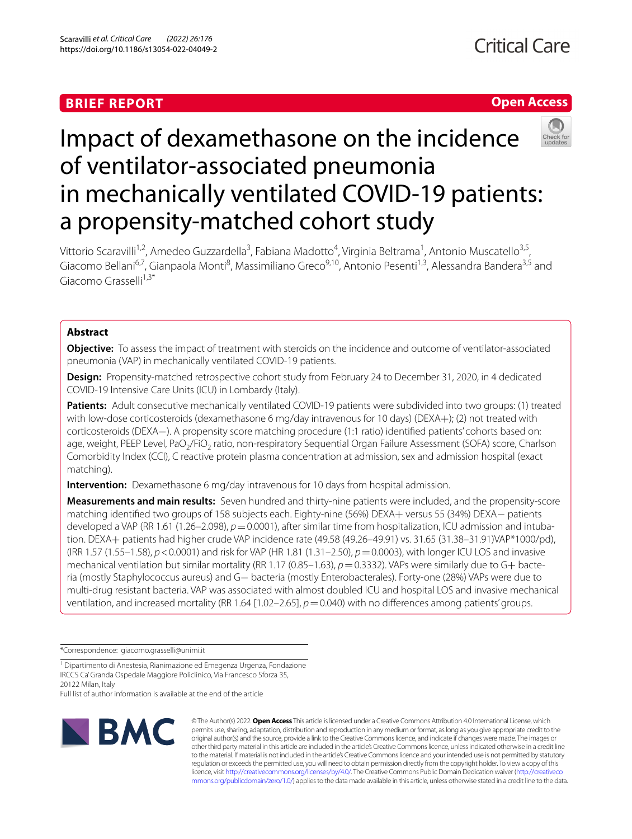## **BRIEF REPORT**



# Impact of dexamethasone on the incidence of ventilator-associated pneumonia in mechanically ventilated COVID-19 patients: a propensity-matched cohort study

Vittorio Scaravilli<sup>1,2</sup>, Amedeo Guzzardella<sup>3</sup>, Fabiana Madotto<sup>4</sup>, Virginia Beltrama<sup>1</sup>, Antonio Muscatello<sup>3,5</sup>, Giacomo Bellani<sup>6,7</sup>, Gianpaola Monti<sup>8</sup>, Massimiliano Greco<sup>9,10</sup>, Antonio Pesenti<sup>1,3</sup>, Alessandra Bandera<sup>3,5</sup> and Giacomo Grasselli<sup>1,3\*</sup>

## **Abstract**

**Objective:** To assess the impact of treatment with steroids on the incidence and outcome of ventilator-associated pneumonia (VAP) in mechanically ventilated COVID-19 patients.

**Design:** Propensity-matched retrospective cohort study from February 24 to December 31, 2020, in 4 dedicated COVID-19 Intensive Care Units (ICU) in Lombardy (Italy).

**Patients:** Adult consecutive mechanically ventilated COVID-19 patients were subdivided into two groups: (1) treated with low-dose corticosteroids (dexamethasone 6 mg/day intravenous for 10 days) (DEXA+); (2) not treated with corticosteroids (DEXA−). A propensity score matching procedure (1:1 ratio) identifed patients' cohorts based on: age, weight, PEEP Level, PaO<sub>2</sub>/FiO<sub>2</sub> ratio, non-respiratory Sequential Organ Failure Assessment (SOFA) score, Charlson Comorbidity Index (CCI), C reactive protein plasma concentration at admission, sex and admission hospital (exact matching).

**Intervention:** Dexamethasone 6 mg/day intravenous for 10 days from hospital admission.

**Measurements and main results:** Seven hundred and thirty-nine patients were included, and the propensity-score matching identifed two groups of 158 subjects each. Eighty-nine (56%) DEXA+ versus 55 (34%) DEXA− patients developed a VAP (RR 1.61 (1.26–2.098),  $p=0.0001$ ), after similar time from hospitalization, ICU admission and intubation. DEXA+ patients had higher crude VAP incidence rate (49.58 (49.26–49.91) vs. 31.65 (31.38–31.91)VAP\*1000/pd), (IRR 1.57 (1.55–1.58), *p*<0.0001) and risk for VAP (HR 1.81 (1.31–2.50), *p*=0.0003), with longer ICU LOS and invasive mechanical ventilation but similar mortality (RR 1.17 (0.85–1.63),  $p = 0.3332$ ). VAPs were similarly due to G+ bacteria (mostly Staphylococcus aureus) and G− bacteria (mostly Enterobacterales). Forty-one (28%) VAPs were due to multi-drug resistant bacteria. VAP was associated with almost doubled ICU and hospital LOS and invasive mechanical ventilation, and increased mortality (RR 1.64 [1.02–2.65],  $p=0.040$ ) with no differences among patients' groups.

\*Correspondence: giacomo.grasselli@unimi.it

Full list of author information is available at the end of the article



© The Author(s) 2022. **Open Access** This article is licensed under a Creative Commons Attribution 4.0 International License, which permits use, sharing, adaptation, distribution and reproduction in any medium or format, as long as you give appropriate credit to the original author(s) and the source, provide a link to the Creative Commons licence, and indicate if changes were made. The images or other third party material in this article are included in the article's Creative Commons licence, unless indicated otherwise in a credit line to the material. If material is not included in the article's Creative Commons licence and your intended use is not permitted by statutory regulation or exceeds the permitted use, you will need to obtain permission directly from the copyright holder. To view a copy of this licence, visit [http://creativecommons.org/licenses/by/4.0/.](http://creativecommons.org/licenses/by/4.0/) The Creative Commons Public Domain Dedication waiver ([http://creativeco](http://creativecommons.org/publicdomain/zero/1.0/) [mmons.org/publicdomain/zero/1.0/](http://creativecommons.org/publicdomain/zero/1.0/)) applies to the data made available in this article, unless otherwise stated in a credit line to the data.

<sup>&</sup>lt;sup>1</sup> Dipartimento di Anestesia, Rianimazione ed Emegenza Urgenza, Fondazione IRCCS Ca' Granda Ospedale Maggiore Policlinico, Via Francesco Sforza 35, 20122 Milan, Italy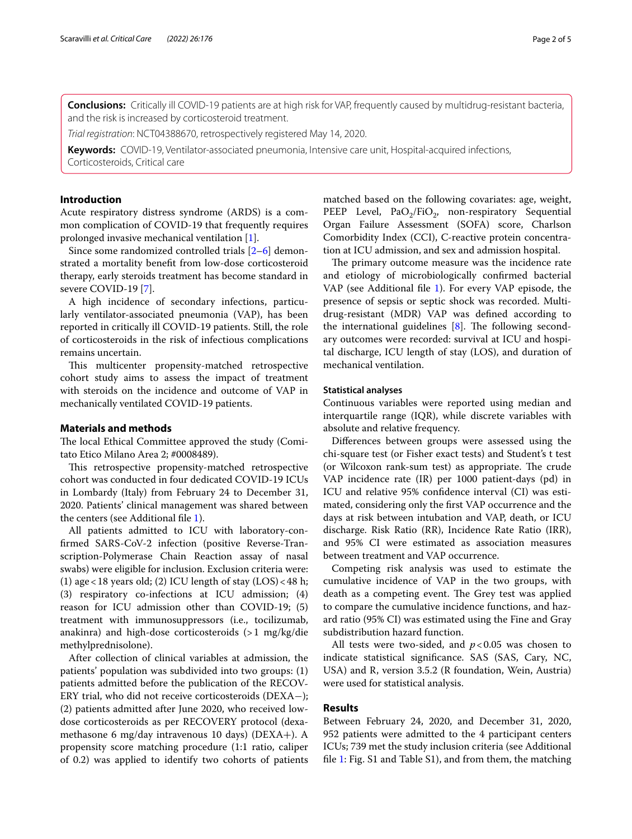**Conclusions:** Critically ill COVID-19 patients are at high risk for VAP, frequently caused by multidrug-resistant bacteria, and the risk is increased by corticosteroid treatment.

*Trial registration*: NCT04388670, retrospectively registered May 14, 2020.

**Keywords:** COVID-19, Ventilator-associated pneumonia, Intensive care unit, Hospital-acquired infections, Corticosteroids, Critical care

## **Introduction**

Acute respiratory distress syndrome (ARDS) is a common complication of COVID-19 that frequently requires prolonged invasive mechanical ventilation [[1\]](#page-4-0).

Since some randomized controlled trials [[2–](#page-4-1)[6\]](#page-4-2) demonstrated a mortality beneft from low-dose corticosteroid therapy, early steroids treatment has become standard in severe COVID-19 [[7](#page-4-3)].

A high incidence of secondary infections, particularly ventilator-associated pneumonia (VAP), has been reported in critically ill COVID-19 patients. Still, the role of corticosteroids in the risk of infectious complications remains uncertain.

This multicenter propensity-matched retrospective cohort study aims to assess the impact of treatment with steroids on the incidence and outcome of VAP in mechanically ventilated COVID-19 patients.

### **Materials and methods**

The local Ethical Committee approved the study (Comitato Etico Milano Area 2; #0008489).

This retrospective propensity-matched retrospective cohort was conducted in four dedicated COVID-19 ICUs in Lombardy (Italy) from February 24 to December 31, 2020. Patients' clinical management was shared between the centers (see Additional fle [1\)](#page-4-4).

All patients admitted to ICU with laboratory-confrmed SARS-CoV-2 infection (positive Reverse-Transcription-Polymerase Chain Reaction assay of nasal swabs) were eligible for inclusion. Exclusion criteria were: (1) age < 18 years old; (2) ICU length of stay  $(LOS)$  < 48 h; (3) respiratory co-infections at ICU admission; (4) reason for ICU admission other than COVID-19; (5) treatment with immunosuppressors (i.e., tocilizumab, anakinra) and high-dose corticosteroids (>1 mg/kg/die methylprednisolone).

After collection of clinical variables at admission, the patients' population was subdivided into two groups: (1) patients admitted before the publication of the RECOV-ERY trial, who did not receive corticosteroids (DEXA−); (2) patients admitted after June 2020, who received lowdose corticosteroids as per RECOVERY protocol (dexamethasone 6 mg/day intravenous 10 days) (DEXA+). A propensity score matching procedure (1:1 ratio, caliper of 0.2) was applied to identify two cohorts of patients matched based on the following covariates: age, weight, PEEP Level,  $PaO<sub>2</sub>/FiO<sub>2</sub>$ , non-respiratory Sequential Organ Failure Assessment (SOFA) score, Charlson Comorbidity Index (CCI), C-reactive protein concentration at ICU admission, and sex and admission hospital.

The primary outcome measure was the incidence rate and etiology of microbiologically confrmed bacterial VAP (see Additional fle [1](#page-4-4)). For every VAP episode, the presence of sepsis or septic shock was recorded. Multidrug-resistant (MDR) VAP was defned according to the international guidelines  $[8]$  $[8]$ . The following secondary outcomes were recorded: survival at ICU and hospital discharge, ICU length of stay (LOS), and duration of mechanical ventilation.

#### **Statistical analyses**

Continuous variables were reported using median and interquartile range (IQR), while discrete variables with absolute and relative frequency.

Diferences between groups were assessed using the chi-square test (or Fisher exact tests) and Student's t test (or Wilcoxon rank-sum test) as appropriate. The crude VAP incidence rate (IR) per 1000 patient-days (pd) in ICU and relative 95% confdence interval (CI) was estimated, considering only the frst VAP occurrence and the days at risk between intubation and VAP, death, or ICU discharge. Risk Ratio (RR), Incidence Rate Ratio (IRR), and 95% CI were estimated as association measures between treatment and VAP occurrence.

Competing risk analysis was used to estimate the cumulative incidence of VAP in the two groups, with death as a competing event. The Grey test was applied to compare the cumulative incidence functions, and hazard ratio (95% CI) was estimated using the Fine and Gray subdistribution hazard function.

All tests were two-sided, and  $p < 0.05$  was chosen to indicate statistical signifcance. SAS (SAS, Cary, NC, USA) and R, version 3.5.2 (R foundation, Wein, Austria) were used for statistical analysis.

#### **Results**

Between February 24, 2020, and December 31, 2020, 952 patients were admitted to the 4 participant centers ICUs; 739 met the study inclusion criteria (see Additional fle [1](#page-4-4): Fig. S1 and Table S1), and from them, the matching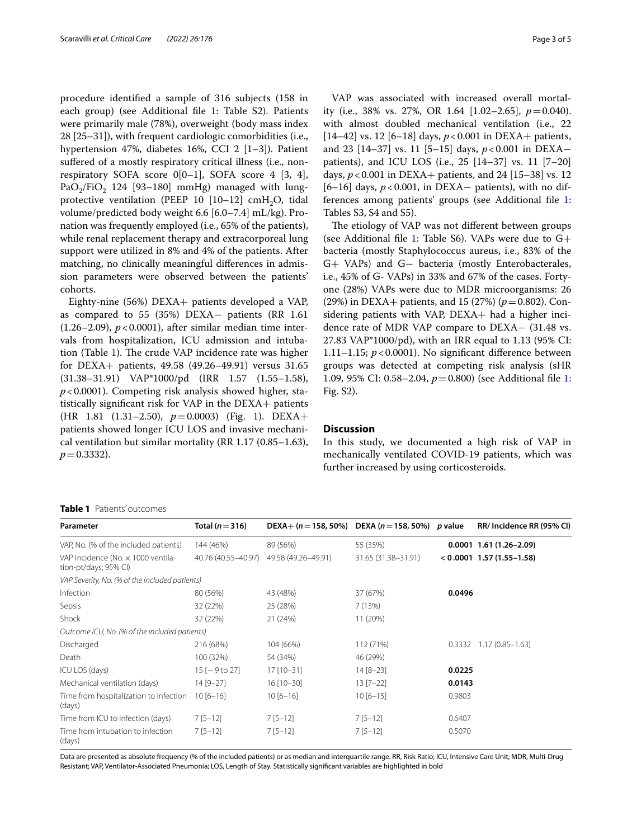procedure identifed a sample of 316 subjects (158 in each group) (see Additional file [1:](#page-4-4) Table S2). Patients were primarily male (78%), overweight (body mass index 28 [25–31]), with frequent cardiologic comorbidities (i.e., hypertension 47%, diabetes 16%, CCI 2 [1–3]). Patient sufered of a mostly respiratory critical illness (i.e., nonrespiratory SOFA score  $0[0-1]$ , SOFA score 4 [3, 4], PaO<sub>2</sub>/FiO<sub>2</sub> 124 [93-180] mmHg) managed with lungprotective ventilation (PEEP 10  $[10-12]$  cmH<sub>2</sub>O, tidal volume/predicted body weight 6.6 [6.0–7.4] mL/kg). Pronation was frequently employed (i.e., 65% of the patients), while renal replacement therapy and extracorporeal lung support were utilized in 8% and 4% of the patients. After matching, no clinically meaningful diferences in admission parameters were observed between the patients' cohorts.

Eighty-nine (56%) DEXA+ patients developed a VAP, as compared to 55 (35%) DEXA− patients (RR 1.61  $(1.26-2.09)$ ,  $p < 0.0001$ ), after similar median time intervals from hospitalization, ICU admission and intuba-tion (Table [1\)](#page-2-0). The crude VAP incidence rate was higher for DEXA+ patients, 49.58 (49.26–49.91) versus 31.65 (31.38–31.91) VAP\*1000/pd (IRR 1.57 (1.55–1.58), *p*<0.0001). Competing risk analysis showed higher, statistically signifcant risk for VAP in the DEXA+ patients (HR 1.81 (1.31–2.50), *p*=0.0003) (Fig. [1\)](#page-3-0). DEXA+ patients showed longer ICU LOS and invasive mechanical ventilation but similar mortality (RR 1.17 (0.85–1.63),  $p = 0.3332$ .

VAP was associated with increased overall mortality (i.e., 38% vs. 27%, OR 1.64 [1.02–2.65], *p*=0.040). with almost doubled mechanical ventilation (i.e., 22 [14–42] vs. 12 [6–18] days,  $p < 0.001$  in DEXA+ patients, and 23 [14–37] vs. 11 [5–15] days, *p*<0.001 in DEXA− patients), and ICU LOS (i.e., 25 [14–37] vs. 11 [7–20] days, *p*<0.001 in DEXA+ patients, and 24 [15–38] vs. 12 [6–16] days, *p* < 0.001, in DEXA− patients), with no differences among patients' groups (see Additional fle [1](#page-4-4): Tables S3, S4 and S5).

The etiology of VAP was not different between groups (see Additional file [1:](#page-4-4) Table S6). VAPs were due to  $G+$ bacteria (mostly Staphylococcus aureus, i.e., 83% of the G+ VAPs) and G− bacteria (mostly Enterobacterales, i.e., 45% of G- VAPs) in 33% and 67% of the cases. Fortyone (28%) VAPs were due to MDR microorganisms: 26 (29%) in DEXA+ patients, and 15 (27%) (*p*=0.802). Considering patients with VAP, DEXA+ had a higher incidence rate of MDR VAP compare to DEXA− (31.48 vs. 27.83 VAP\*1000/pd), with an IRR equal to 1.13 (95% CI: 1.11–1.15; *p*<0.0001). No signifcant diference between groups was detected at competing risk analysis (sHR 1.09, 95% CI: 0.58–2.04, *p*=0.800) (see Additional fle [1](#page-4-4): Fig. S2).

## **Discussion**

In this study, we documented a high risk of VAP in mechanically ventilated COVID-19 patients, which was further increased by using corticosteroids.

#### <span id="page-2-0"></span>**Table 1** Patients' outcomes

| Parameter                                                   | Total ( $n$ $=$ 316) | DEXA+ (n = 158, 50%) DEXA (n = 158, 50%) p value |                     |        | RR/ Incidence RR (95% CI)   |
|-------------------------------------------------------------|----------------------|--------------------------------------------------|---------------------|--------|-----------------------------|
| VAP, No. (% of the included patients)                       | 144 (46%)            | 89 (56%)                                         | 55 (35%)            |        | $0.0001$ 1.61 (1.26-2.09)   |
| VAP Incidence (No. x 1000 ventila-<br>tion-pt/days; 95% CI) | 40.76 (40.55-40.97)  | 49.58 (49.26-49.91)                              | 31.65 (31.38-31.91) |        | $< 0.0001$ 1.57 (1.55-1.58) |
| VAP Severity, No. (% of the included patients)              |                      |                                                  |                     |        |                             |
| Infection                                                   | 80 (56%)             | 43 (48%)                                         | 37 (67%)            | 0.0496 |                             |
| Sepsis                                                      | 32 (22%)             | 25 (28%)                                         | 7(13%)              |        |                             |
| Shock                                                       | 32 (22%)             | 21 (24%)                                         | 11 (20%)            |        |                             |
| Outcome ICU, No. (% of the included patients)               |                      |                                                  |                     |        |                             |
| Discharged                                                  | 216 (68%)            | 104 (66%)                                        | 112 (71%)           |        | $0.3332$ 1.17 (0.85-1.63)   |
| Death                                                       | 100 (32%)            | 54 (34%)                                         | 46 (29%)            |        |                             |
| ICU LOS (days)                                              | $15[-9 to 27]$       | $17$ [10-31]                                     | $14 [8 - 23]$       | 0.0225 |                             |
| Mechanical ventilation (days)                               | $14 [9 - 27]$        | $16$ [10-30]                                     | $13 [7 - 22]$       | 0.0143 |                             |
| Time from hospitalization to infection<br>(days)            | $10[6 - 16]$         | $10[6 - 16]$                                     | $10[6 - 15]$        | 0.9803 |                             |
| Time from ICU to infection (days)                           | $7[5-12]$            | $7[5-12]$                                        | $7[5-12]$           | 0.6407 |                             |
| Time from intubation to infection<br>(days)                 | $7[5-12]$            | $7[5-12]$                                        | $7[5-12]$           | 0.5070 |                             |

Data are presented as absolute frequency (% of the included patients) or as median and interquartile range. RR, Risk Ratio; ICU, Intensive Care Unit; MDR, Multi-Drug Resistant; VAP, Ventilator-Associated Pneumonia; LOS, Length of Stay. Statistically signifcant variables are highlighted in bold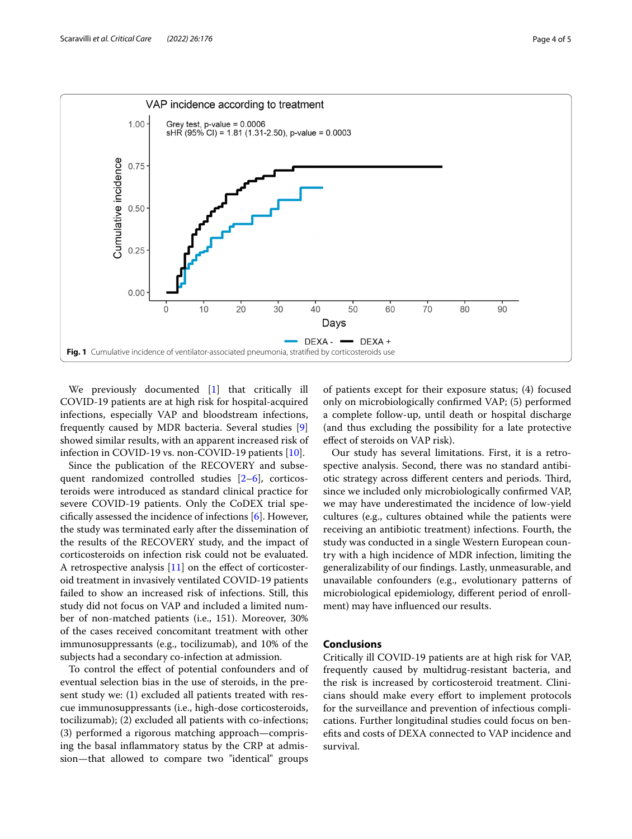

<span id="page-3-0"></span>We previously documented [\[1](#page-4-0)] that critically ill COVID-19 patients are at high risk for hospital-acquired infections, especially VAP and bloodstream infections, frequently caused by MDR bacteria. Several studies [\[9](#page-4-6)] showed similar results, with an apparent increased risk of infection in COVID-19 vs. non-COVID-19 patients [\[10](#page-4-7)].

Since the publication of the RECOVERY and subsequent randomized controlled studies [\[2–](#page-4-1)[6\]](#page-4-2), corticosteroids were introduced as standard clinical practice for severe COVID-19 patients. Only the CoDEX trial specifcally assessed the incidence of infections [\[6](#page-4-2)]. However, the study was terminated early after the dissemination of the results of the RECOVERY study, and the impact of corticosteroids on infection risk could not be evaluated. A retrospective analysis [\[11\]](#page-4-8) on the efect of corticosteroid treatment in invasively ventilated COVID-19 patients failed to show an increased risk of infections. Still, this study did not focus on VAP and included a limited number of non-matched patients (i.e., 151). Moreover, 30% of the cases received concomitant treatment with other immunosuppressants (e.g., tocilizumab), and 10% of the subjects had a secondary co-infection at admission.

To control the efect of potential confounders and of eventual selection bias in the use of steroids, in the present study we: (1) excluded all patients treated with rescue immunosuppressants (i.e., high-dose corticosteroids, tocilizumab); (2) excluded all patients with co-infections; (3) performed a rigorous matching approach—comprising the basal infammatory status by the CRP at admission—that allowed to compare two "identical" groups

of patients except for their exposure status; (4) focused only on microbiologically confrmed VAP; (5) performed a complete follow-up, until death or hospital discharge (and thus excluding the possibility for a late protective efect of steroids on VAP risk).

Our study has several limitations. First, it is a retrospective analysis. Second, there was no standard antibiotic strategy across different centers and periods. Third, since we included only microbiologically confrmed VAP, we may have underestimated the incidence of low-yield cultures (e.g., cultures obtained while the patients were receiving an antibiotic treatment) infections. Fourth, the study was conducted in a single Western European country with a high incidence of MDR infection, limiting the generalizability of our fndings. Lastly, unmeasurable, and unavailable confounders (e.g., evolutionary patterns of microbiological epidemiology, diferent period of enrollment) may have infuenced our results.

## **Conclusions**

Critically ill COVID-19 patients are at high risk for VAP, frequently caused by multidrug-resistant bacteria, and the risk is increased by corticosteroid treatment. Clinicians should make every efort to implement protocols for the surveillance and prevention of infectious complications. Further longitudinal studies could focus on benefts and costs of DEXA connected to VAP incidence and survival.